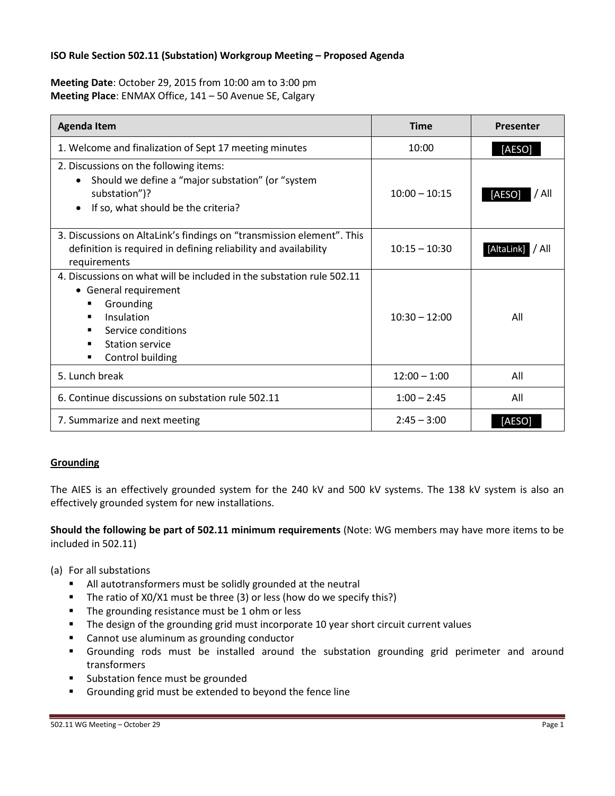## **ISO Rule Section 502.11 (Substation) Workgroup Meeting – Proposed Agenda**

**Meeting Date**: October 29, 2015 from 10:00 am to 3:00 pm **Meeting Place**: ENMAX Office, 141 – 50 Avenue SE, Calgary

| <b>Agenda Item</b>                                                                                                                                                                                                                                            | <b>Time</b>     | Presenter           |
|---------------------------------------------------------------------------------------------------------------------------------------------------------------------------------------------------------------------------------------------------------------|-----------------|---------------------|
| 1. Welcome and finalization of Sept 17 meeting minutes                                                                                                                                                                                                        | 10:00           | [AESO]              |
| 2. Discussions on the following items:<br>Should we define a "major substation" (or "system<br>substation")?<br>If so, what should be the criteria?                                                                                                           | $10:00 - 10:15$ | [AESO]<br>7 All     |
| 3. Discussions on AltaLink's findings on "transmission element". This<br>definition is required in defining reliability and availability<br>requirements                                                                                                      | $10:15 - 10:30$ | [AltaLink]<br>/ All |
| 4. Discussions on what will be included in the substation rule 502.11<br>• General requirement<br>Grounding<br>$\blacksquare$<br>Insulation<br>٠<br>Service conditions<br>$\blacksquare$<br><b>Station service</b><br>٠<br>Control building<br>$\blacksquare$ | $10:30 - 12:00$ | All                 |
| 5. Lunch break                                                                                                                                                                                                                                                | $12:00 - 1:00$  | All                 |
| 6. Continue discussions on substation rule 502.11                                                                                                                                                                                                             | $1:00 - 2:45$   | All                 |
| 7. Summarize and next meeting                                                                                                                                                                                                                                 | $2:45 - 3:00$   | ÍAESO               |

### **Grounding**

The AIES is an effectively grounded system for the 240 kV and 500 kV systems. The 138 kV system is also an effectively grounded system for new installations.

**Should the following be part of 502.11 minimum requirements** (Note: WG members may have more items to be included in 502.11)

- (a) For all substations
	- All autotransformers must be solidly grounded at the neutral
	- The ratio of X0/X1 must be three (3) or less (how do we specify this?)
	- **The grounding resistance must be 1 ohm or less**
	- **The design of the grounding grid must incorporate 10 year short circuit current values**
	- **EXEC** Cannot use aluminum as grounding conductor
	- Grounding rods must be installed around the substation grounding grid perimeter and around transformers
	- Substation fence must be grounded
	- Grounding grid must be extended to beyond the fence line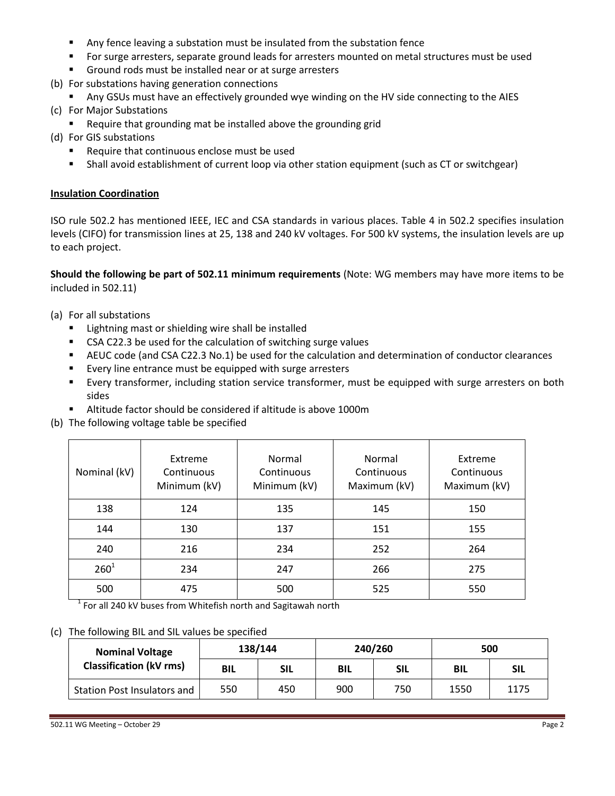- Any fence leaving a substation must be insulated from the substation fence
- For surge arresters, separate ground leads for arresters mounted on metal structures must be used
- Ground rods must be installed near or at surge arresters
- (b) For substations having generation connections
	- Any GSUs must have an effectively grounded wye winding on the HV side connecting to the AIES
- (c) For Major Substations
	- **Require that grounding mat be installed above the grounding grid**
- (d) For GIS substations
	- Require that continuous enclose must be used
	- Shall avoid establishment of current loop via other station equipment (such as CT or switchgear)

## **Insulation Coordination**

ISO rule 502.2 has mentioned IEEE, IEC and CSA standards in various places. Table 4 in 502.2 specifies insulation levels (CIFO) for transmission lines at 25, 138 and 240 kV voltages. For 500 kV systems, the insulation levels are up to each project.

**Should the following be part of 502.11 minimum requirements** (Note: WG members may have more items to be included in 502.11)

- (a) For all substations
	- Lightning mast or shielding wire shall be installed
	- CSA C22.3 be used for the calculation of switching surge values
	- AEUC code (and CSA C22.3 No.1) be used for the calculation and determination of conductor clearances
	- Every line entrance must be equipped with surge arresters
	- Every transformer, including station service transformer, must be equipped with surge arresters on both sides
	- Altitude factor should be considered if altitude is above 1000m
- (b) The following voltage table be specified

| Nominal (kV) | Extreme<br>Continuous<br>Minimum (kV) | Normal<br>Continuous<br>Minimum (kV) | Normal<br>Continuous<br>Maximum (kV) | Extreme<br>Continuous<br>Maximum (kV) |
|--------------|---------------------------------------|--------------------------------------|--------------------------------------|---------------------------------------|
| 138          | 124                                   | 135                                  | 145                                  | 150                                   |
| 144          | 130                                   | 137                                  | 151                                  | 155                                   |
| 240          | 216                                   | 234                                  | 252                                  | 264                                   |
| $260^{1}$    | 234                                   | 247                                  | 266                                  | 275                                   |
| 500          | 475                                   | 500                                  | 525                                  | 550                                   |

 $1$  For all 240 kV buses from Whitefish north and Sagitawah north

### (c) The following BIL and SIL values be specified

| <b>Nominal Voltage</b><br><b>Classification (kV rms)</b> | 138/144    |     | 240/260    |     | 500        |            |
|----------------------------------------------------------|------------|-----|------------|-----|------------|------------|
|                                                          | <b>BIL</b> | SIL | <b>BIL</b> | SIL | <b>BIL</b> | <b>SIL</b> |
| <b>Station Post Insulators and</b>                       | 550        | 450 | 900        | 750 | 1550       | 1175       |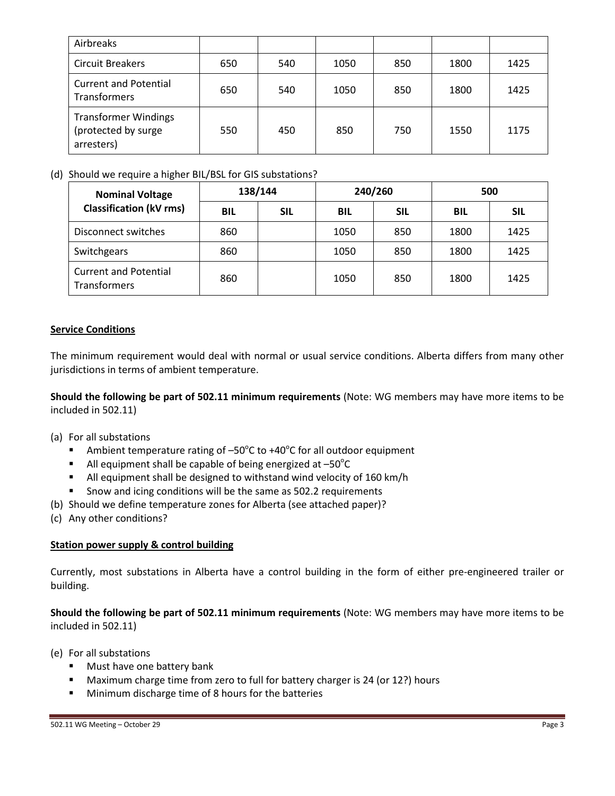| Airbreaks                                                        |     |     |      |     |      |      |
|------------------------------------------------------------------|-----|-----|------|-----|------|------|
| <b>Circuit Breakers</b>                                          | 650 | 540 | 1050 | 850 | 1800 | 1425 |
| <b>Current and Potential</b><br>Transformers                     | 650 | 540 | 1050 | 850 | 1800 | 1425 |
| <b>Transformer Windings</b><br>(protected by surge<br>arresters) | 550 | 450 | 850  | 750 | 1550 | 1175 |

# (d) Should we require a higher BIL/BSL for GIS substations?

| <b>Nominal Voltage</b><br><b>Classification (kV rms)</b> | 138/144    |            | 240/260    |            | 500        |      |
|----------------------------------------------------------|------------|------------|------------|------------|------------|------|
|                                                          | <b>BIL</b> | <b>SIL</b> | <b>BIL</b> | <b>SIL</b> | <b>BIL</b> | SIL  |
| Disconnect switches                                      | 860        |            | 1050       | 850        | 1800       | 1425 |
| Switchgears                                              | 860        |            | 1050       | 850        | 1800       | 1425 |
| <b>Current and Potential</b><br><b>Transformers</b>      | 860        |            | 1050       | 850        | 1800       | 1425 |

## **Service Conditions**

The minimum requirement would deal with normal or usual service conditions. Alberta differs from many other jurisdictions in terms of ambient temperature.

**Should the following be part of 502.11 minimum requirements** (Note: WG members may have more items to be included in 502.11)

### (a) For all substations

- Ambient temperature rating of  $-50^{\circ}$ C to +40 $^{\circ}$ C for all outdoor equipment
- All equipment shall be capable of being energized at  $-50^{\circ}$ C
- All equipment shall be designed to withstand wind velocity of 160 km/h
- **Show and icing conditions will be the same as 502.2 requirements**
- (b) Should we define temperature zones for Alberta (see attached paper)?
- (c) Any other conditions?

### **Station power supply & control building**

Currently, most substations in Alberta have a control building in the form of either pre-engineered trailer or building.

**Should the following be part of 502.11 minimum requirements** (Note: WG members may have more items to be included in 502.11)

- (e) For all substations
	- **Must have one battery bank**
	- **Maximum charge time from zero to full for battery charger is 24 (or 12?) hours**
	- **Minimum discharge time of 8 hours for the batteries**